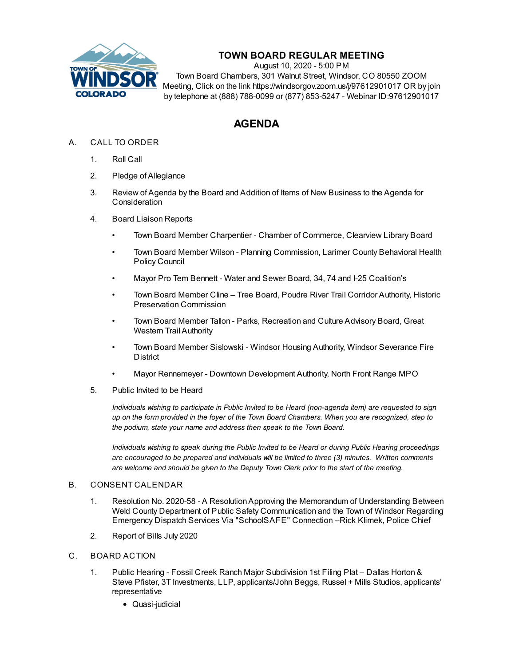

# **TOWN BOARD REGULAR MEETING**

August 10, 2020 - 5:00 PM Town Board Chambers, 301 Walnut Street, Windsor, CO 80550 ZOOM Meeting, Click on the link https://windsorgov.zoom.us/j/97612901017 OR by join by telephone at (888) 788-0099 or (877) 853-5247 - Webinar ID:97612901017

# **AGENDA**

## A. CALL TO ORDER

- 1. Roll Call
- 2. Pledge of Allegiance
- 3. Review of Agenda by the Board and Addition of Items of New Business to the Agenda for **Consideration**
- 4. Board Liaison Reports
	- Town Board Member Charpentier Chamber of Commerce, Clearview Library Board
	- Town Board Member Wilson Planning Commission, Larimer County Behavioral Health Policy Council
	- Mayor Pro Tem Bennett Water and Sewer Board, 34, 74 and I-25 Coalition's
	- Town Board Member Cline Tree Board, Poudre River Trail Corridor Authority, Historic Preservation Commission
	- Town Board Member Tallon Parks, Recreation and Culture Advisory Board, Great Western Trail Authority
	- Town Board Member Sislowski Windsor Housing Authority, Windsor Severance Fire District
	- Mayor Rennemeyer Downtown Development Authority, North Front Range MPO
- 5. Public Invited to be Heard

*Individuals wishing to participate in Public Invited to be Heard (non-agenda item) are requested to sign* up on the form provided in the foyer of the Town Board Chambers. When you are recognized, step to *the podium, state your name and address then speak to the Town Board.*

*Individuals wishing to speak during the Public Invited to be Heard or during Public Hearing proceedings are encouraged to be prepared and individuals will be limited to three (3) minutes. Written comments are welcome and should be given to the Deputy Town Clerk prior to the start of the meeting.*

#### B. CONSENT CALENDAR

- 1. Resolution No. 2020-58 A [ResolutionApproving](file:///C:/Windows/TEMP/CoverSheet.aspx?ItemID=993&MeetingID=127) the Memorandum of Understanding Between Weld County Department of Public Safety Communication and the Town of Windsor Regarding Emergency Dispatch Services Via "SchoolSAFE" Connection --Rick Klimek, Police Chief
- 2. [Report](file:///C:/Windows/TEMP/CoverSheet.aspx?ItemID=1005&MeetingID=127) of Bills July 2020

### C. BOARD ACTION

- 1. Public Hearing Fossil Creek Ranch Major Subdivision 1st Filing Plat Dallas Horton & Steve Pfister, 3T Investments, LLP, [applicants/John](file:///C:/Windows/TEMP/CoverSheet.aspx?ItemID=997&MeetingID=127) Beggs, Russel + Mills Studios, applicants' representative
	- Quasi-judicial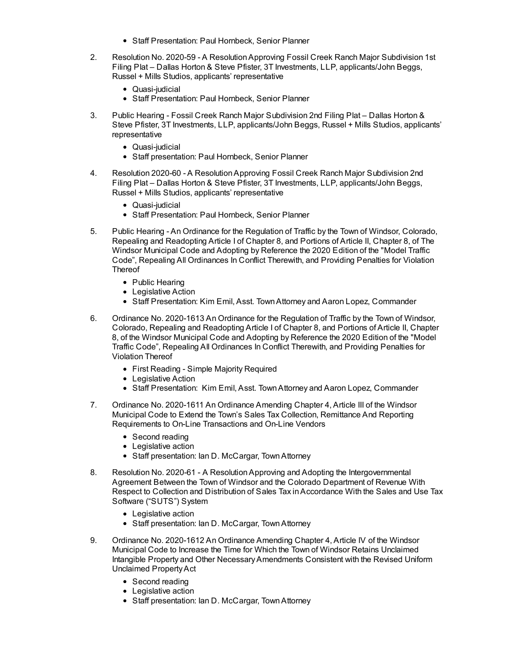- Staff Presentation: Paul Hornbeck, Senior Planner
- 2. Resolution No. 2020-59 A [ResolutionApproving](file:///C:/Windows/TEMP/CoverSheet.aspx?ItemID=998&MeetingID=127) Fossil Creek Ranch Major Subdivision 1st Filing Plat – Dallas Horton & Steve Pfister, 3T Investments, LLP, applicants/John Beggs, Russel + Mills Studios, applicants' representative
	- Quasi-iudicial
	- Staff Presentation: Paul Hornbeck, Senior Planner
- 3. Public Hearing Fossil Creek Ranch Major Subdivision 2nd Filing Plat Dallas Horton & Steve Pfister, 3T Investments, LLP, [applicants/John](file:///C:/Windows/TEMP/CoverSheet.aspx?ItemID=999&MeetingID=127) Beggs, Russel + Mills Studios, applicants' representative
	- Quasi-judicial
	- Staff presentation: Paul Hornbeck, Senior Planner
- 4. Resolution 2020-60 A [ResolutionApproving](file:///C:/Windows/TEMP/CoverSheet.aspx?ItemID=1000&MeetingID=127) Fossil Creek Ranch Major Subdivision 2nd Filing Plat – Dallas Horton & Steve Pfister, 3T Investments, LLP, applicants/John Beggs, Russel + Mills Studios, applicants' representative
	- Quasi-iudicial
	- Staff Presentation: Paul Hornbeck, Senior Planner
- 5. Public Hearing An Ordinance for the Regulation of Traffic by the Town of Windsor, Colorado, Repealing and [Readopting](file:///C:/Windows/TEMP/CoverSheet.aspx?ItemID=995&MeetingID=127) Article I of Chapter 8, and Portions of Article II, Chapter 8, of The Windsor Municipal Code and Adopting by Reference the 2020 Edition of the "Model Traffic Code", Repealing All Ordinances In Conflict Therewith, and Providing Penalties for Violation **Thereof** 
	- Public Hearing
	- Legislative Action
	- Staff Presentation: Kim Emil, Asst. Town Attorney and Aaron Lopez, Commander
- 6. Ordinance No. 2020-1613 An Ordinance for the Regulation of Traffic by the Town of Windsor, Colorado, Repealing and [Readopting](file:///C:/Windows/TEMP/CoverSheet.aspx?ItemID=996&MeetingID=127) Article I of Chapter 8, and Portions of Article II, Chapter 8, of the Windsor Municipal Code and Adopting by Reference the 2020 Edition of the "Model Traffic Code", Repealing All Ordinances In Conflict Therewith, and Providing Penalties for Violation Thereof
	- First Reading Simple Majority Required
	- Legislative Action
	- Staff Presentation: Kim Emil, Asst. Town Attorney and Aaron Lopez, Commander
- 7. Ordinance No. 2020-1611 An Ordinance Amending Chapter 4, Article III of the Windsor Municipal Code to Extend the Town's Sales Tax Collection, [Remittance](file:///C:/Windows/TEMP/CoverSheet.aspx?ItemID=989&MeetingID=127) And Reporting Requirements to On-Line Transactions and On-Line Vendors
	- Second reading
	- Legislative action
	- Staff presentation: Ian D. McCargar, Town Attorney
- 8. Resolution No. 2020-61 A [ResolutionApproving](file:///C:/Windows/TEMP/CoverSheet.aspx?ItemID=988&MeetingID=127) and Adopting the Intergovernmental Agreement Between the Town of Windsor and the Colorado Department of Revenue With Respect to Collection and Distribution of Sales Tax inAccordance With the Sales and Use Tax Software ("SUTS") System
	- Legislative action
	- Staff presentation: Ian D. McCargar, Town Attorney
- 9. Ordinance No. 2020-1612 An Ordinance Amending Chapter 4, Article IV of the Windsor Municipal Code to Increase the Time for Which the Town of Windsor Retains Unclaimed Intangible Property and Other [NecessaryAmendments](file:///C:/Windows/TEMP/CoverSheet.aspx?ItemID=990&MeetingID=127) Consistent with the Revised Uniform Unclaimed PropertyAct
	- Second reading
	- Legislative action
	- Staff presentation: Ian D. McCargar, TownAttorney